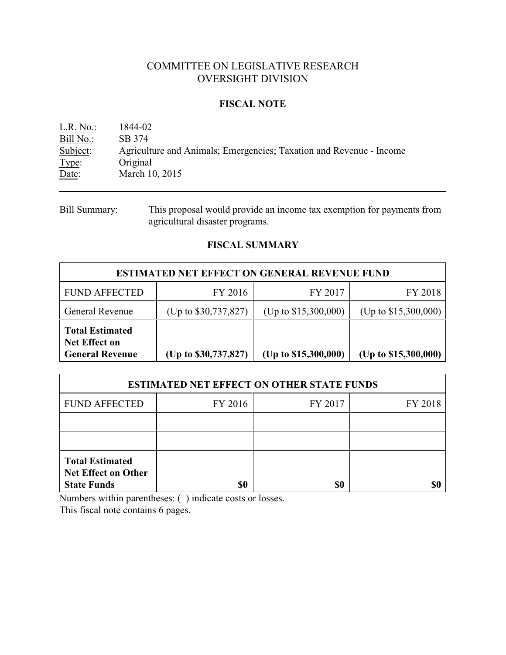# COMMITTEE ON LEGISLATIVE RESEARCH OVERSIGHT DIVISION

#### **FISCAL NOTE**

| $L.R. No.$ : | 1844-02                                                             |
|--------------|---------------------------------------------------------------------|
| Bill No.:    | SB 374                                                              |
| Subject:     | Agriculture and Animals; Emergencies; Taxation and Revenue - Income |
| Type:        | Original                                                            |
| Date:        | March 10, 2015                                                      |

Bill Summary: This proposal would provide an income tax exemption for payments from agricultural disaster programs.

## **FISCAL SUMMARY**

| <b>ESTIMATED NET EFFECT ON GENERAL REVENUE FUND</b>                      |                        |                        |                        |  |
|--------------------------------------------------------------------------|------------------------|------------------------|------------------------|--|
| <b>FUND AFFECTED</b>                                                     | FY 2016                | FY 2017                | FY 2018                |  |
| <b>General Revenue</b>                                                   | (Up to $$30,737,827$ ) | (Up to $$15,300,000$ ) | (Up to $$15,300,000$ ) |  |
| <b>Total Estimated</b><br><b>Net Effect on</b><br><b>General Revenue</b> | (Up to \$30,737,827)   | (Up to \$15,300,000)   | (Up to $$15,300,000$ ) |  |

| <b>ESTIMATED NET EFFECT ON OTHER STATE FUNDS</b>                           |         |         |         |  |
|----------------------------------------------------------------------------|---------|---------|---------|--|
| <b>FUND AFFECTED</b>                                                       | FY 2016 | FY 2017 | FY 2018 |  |
|                                                                            |         |         |         |  |
|                                                                            |         |         |         |  |
| <b>Total Estimated</b><br><b>Net Effect on Other</b><br><b>State Funds</b> | \$0     | \$0     |         |  |

Numbers within parentheses: ( ) indicate costs or losses.

This fiscal note contains 6 pages.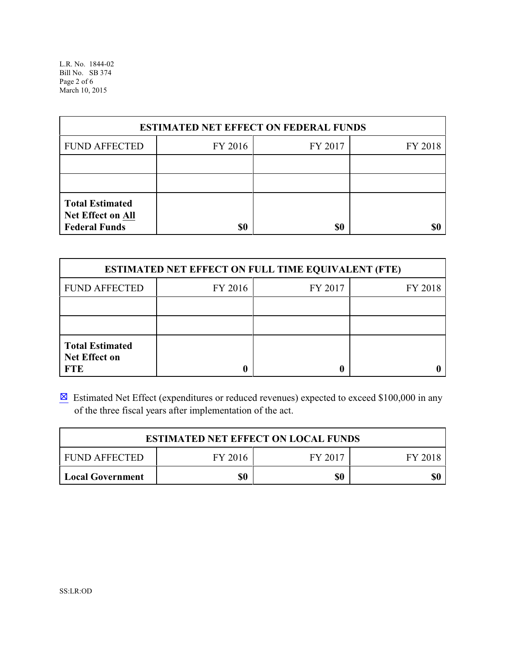L.R. No. 1844-02 Bill No. SB 374 Page 2 of 6 March 10, 2015

| <b>ESTIMATED NET EFFECT ON FEDERAL FUNDS</b>                        |         |         |         |  |
|---------------------------------------------------------------------|---------|---------|---------|--|
| <b>FUND AFFECTED</b>                                                | FY 2016 | FY 2017 | FY 2018 |  |
|                                                                     |         |         |         |  |
|                                                                     |         |         |         |  |
| <b>Total Estimated</b><br>Net Effect on All<br><b>Federal Funds</b> | \$0     | \$0     |         |  |

| <b>ESTIMATED NET EFFECT ON FULL TIME EQUIVALENT (FTE)</b>    |         |         |         |  |
|--------------------------------------------------------------|---------|---------|---------|--|
| <b>FUND AFFECTED</b>                                         | FY 2016 | FY 2017 | FY 2018 |  |
|                                                              |         |         |         |  |
|                                                              |         |         |         |  |
| <b>Total Estimated</b><br><b>Net Effect on</b><br><b>FTE</b> |         |         |         |  |

**Estimated Net Effect (expenditures or reduced revenues) expected to exceed \$100,000 in any** of the three fiscal years after implementation of the act.

| <b>ESTIMATED NET EFFECT ON LOCAL FUNDS</b> |         |         |         |
|--------------------------------------------|---------|---------|---------|
| <b>FUND AFFECTED</b>                       | FY 2016 | FY 2017 | FY 2018 |
| Local Government                           | \$0     | \$0     | \$0     |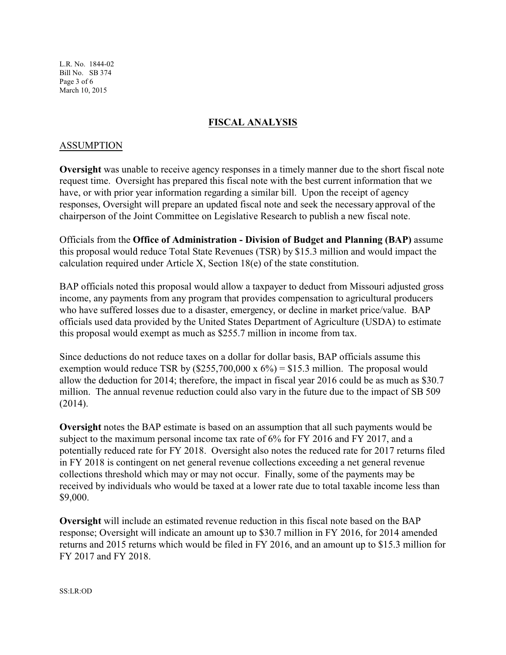L.R. No. 1844-02 Bill No. SB 374 Page 3 of 6 March 10, 2015

## **FISCAL ANALYSIS**

#### ASSUMPTION

**Oversight** was unable to receive agency responses in a timely manner due to the short fiscal note request time. Oversight has prepared this fiscal note with the best current information that we have, or with prior year information regarding a similar bill. Upon the receipt of agency responses, Oversight will prepare an updated fiscal note and seek the necessary approval of the chairperson of the Joint Committee on Legislative Research to publish a new fiscal note.

Officials from the **Office of Administration - Division of Budget and Planning (BAP)** assume this proposal would reduce Total State Revenues (TSR) by \$15.3 million and would impact the calculation required under Article X, Section 18(e) of the state constitution.

BAP officials noted this proposal would allow a taxpayer to deduct from Missouri adjusted gross income, any payments from any program that provides compensation to agricultural producers who have suffered losses due to a disaster, emergency, or decline in market price/value. BAP officials used data provided by the United States Department of Agriculture (USDA) to estimate this proposal would exempt as much as \$255.7 million in income from tax.

Since deductions do not reduce taxes on a dollar for dollar basis, BAP officials assume this exemption would reduce TSR by  $(\$255,700,000 \times 6\%) = \$15.3$  million. The proposal would allow the deduction for 2014; therefore, the impact in fiscal year 2016 could be as much as \$30.7 million. The annual revenue reduction could also vary in the future due to the impact of SB 509 (2014).

**Oversight** notes the BAP estimate is based on an assumption that all such payments would be subject to the maximum personal income tax rate of 6% for FY 2016 and FY 2017, and a potentially reduced rate for FY 2018. Oversight also notes the reduced rate for 2017 returns filed in FY 2018 is contingent on net general revenue collections exceeding a net general revenue collections threshold which may or may not occur. Finally, some of the payments may be received by individuals who would be taxed at a lower rate due to total taxable income less than \$9,000.

**Oversight** will include an estimated revenue reduction in this fiscal note based on the BAP response; Oversight will indicate an amount up to \$30.7 million in FY 2016, for 2014 amended returns and 2015 returns which would be filed in FY 2016, and an amount up to \$15.3 million for FY 2017 and FY 2018.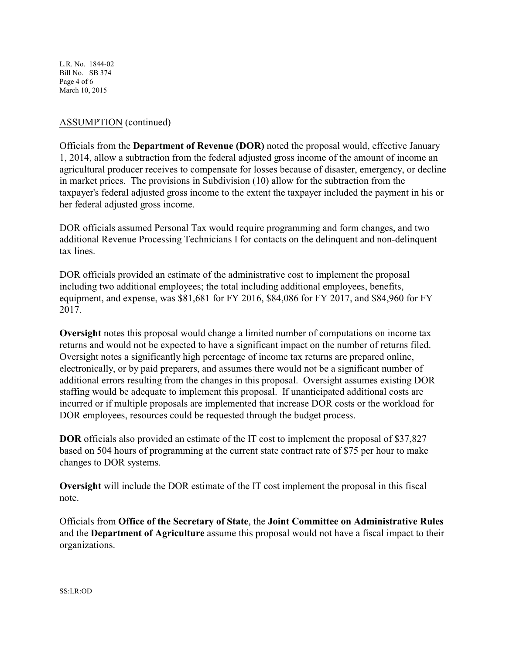L.R. No. 1844-02 Bill No. SB 374 Page 4 of 6 March 10, 2015

### ASSUMPTION (continued)

Officials from the **Department of Revenue (DOR)** noted the proposal would, effective January 1, 2014, allow a subtraction from the federal adjusted gross income of the amount of income an agricultural producer receives to compensate for losses because of disaster, emergency, or decline in market prices. The provisions in Subdivision (10) allow for the subtraction from the taxpayer's federal adjusted gross income to the extent the taxpayer included the payment in his or her federal adjusted gross income.

DOR officials assumed Personal Tax would require programming and form changes, and two additional Revenue Processing Technicians I for contacts on the delinquent and non-delinquent tax lines.

DOR officials provided an estimate of the administrative cost to implement the proposal including two additional employees; the total including additional employees, benefits, equipment, and expense, was \$81,681 for FY 2016, \$84,086 for FY 2017, and \$84,960 for FY 2017.

**Oversight** notes this proposal would change a limited number of computations on income tax returns and would not be expected to have a significant impact on the number of returns filed. Oversight notes a significantly high percentage of income tax returns are prepared online, electronically, or by paid preparers, and assumes there would not be a significant number of additional errors resulting from the changes in this proposal. Oversight assumes existing DOR staffing would be adequate to implement this proposal. If unanticipated additional costs are incurred or if multiple proposals are implemented that increase DOR costs or the workload for DOR employees, resources could be requested through the budget process.

**DOR** officials also provided an estimate of the IT cost to implement the proposal of \$37,827 based on 504 hours of programming at the current state contract rate of \$75 per hour to make changes to DOR systems.

**Oversight** will include the DOR estimate of the IT cost implement the proposal in this fiscal note.

Officials from **Office of the Secretary of State**, the **Joint Committee on Administrative Rules** and the **Department of Agriculture** assume this proposal would not have a fiscal impact to their organizations.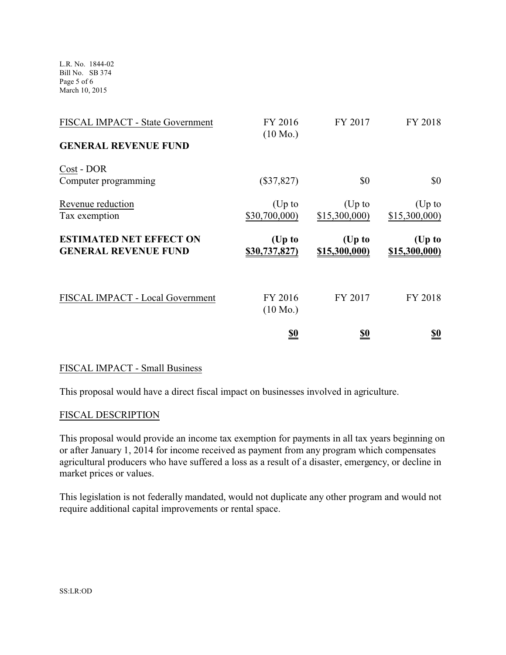L.R. No. 1844-02 Bill No. SB 374 Page 5 of 6 March 10, 2015

| FISCAL IMPACT - State Government<br><b>GENERAL REVENUE FUND</b> | FY 2016<br>$(10 \text{ Mo.})$ | FY 2017                   | FY 2018                 |
|-----------------------------------------------------------------|-------------------------------|---------------------------|-------------------------|
| Cost - DOR<br>Computer programming                              | $(\$37,827)$                  | \$0                       | \$0                     |
| Revenue reduction<br>Tax exemption                              | $(Up$ to<br>\$30,700,000)     | $(Up$ to<br>\$15,300,000) | (Up to<br>\$15,300,000  |
| <b>ESTIMATED NET EFFECT ON</b><br><b>GENERAL REVENUE FUND</b>   | (Up to<br>\$30,737,827)       | $(Up$ to<br>\$15,300,000) | (Up to<br>\$15,300,000) |
| FISCAL IMPACT - Local Government                                | FY 2016<br>$(10 \text{ Mo.})$ | FY 2017                   | FY 2018                 |
|                                                                 | <u>\$0</u>                    | <u>\$0</u>                | <u>\$0</u>              |

#### FISCAL IMPACT - Small Business

This proposal would have a direct fiscal impact on businesses involved in agriculture.

#### FISCAL DESCRIPTION

This proposal would provide an income tax exemption for payments in all tax years beginning on or after January 1, 2014 for income received as payment from any program which compensates agricultural producers who have suffered a loss as a result of a disaster, emergency, or decline in market prices or values.

This legislation is not federally mandated, would not duplicate any other program and would not require additional capital improvements or rental space.